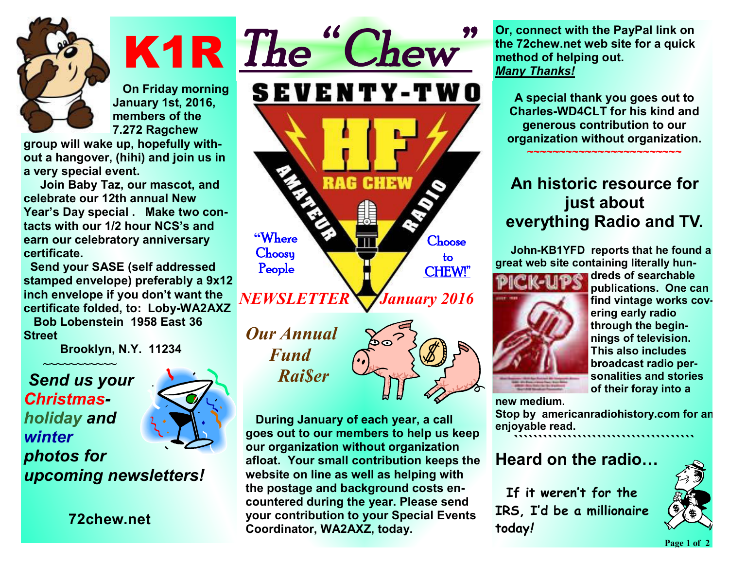

**K1R On Friday morning January 1st, 2016, members of the 7.272 Ragchew** 

**group will wake up, hopefully without a hangover, (hihi) and join us in a very special event.** 

 **Join Baby Taz, our mascot, and celebrate our 12th annual New Year's Day special . Make two contacts with our 1/2 hour NCS's and earn our celebratory anniversary certificate.** 

 **Send your SASE (self addressed stamped envelope) preferably a 9x12 inch envelope if you don't want the certificate folded, to: Loby-WA2AXZ** 

 **Bob Lobenstein 1958 East 36 Street** 

 **~~~~~~~~~~~** 

 **Brooklyn, N.Y. 11234** 

#### *Send us your Christmasholiday and winter photos for upcoming newsletters!*

**72chew.net**

*The " Chew"*  **SEVENTY-TWO** RAG **CHEW "Where Choose Choosy to People CHEW!"**  *NEWSLETTER* *January 2016* 

*Our Annual Fund Rai\$er* 



 **During January of each year, a call goes out to our members to help us keep our organization without organization afloat. Your small contribution keeps the website on line as well as helping with the postage and background costs encountered during the year. Please send your contribution to your Special Events Coordinator, WA2AXZ, today.** 

**Or, connect with the PayPal link on the 72chew.net web site for a quick method of helping out.**  *Many Thanks!* 

**A special thank you goes out to Charles-WD4CLT for his kind and generous contribution to our organization without organization. ~~~~~~~~~~~~~~~~~~~~~~~~** 

# **An historic resource for just about everything Radio and TV.**

 **John-KB1YFD reports that he found a great web site containing literally hun-**



**dreds of searchable publications. One can find vintage works covering early radio through the beginnings of television. This also includes broadcast radio personalities and stories of their foray into a** 

**new medium.** 

**Stop by americanradiohistory.com for an enjoyable read.** 

**`````````````````````````````````````** 

### **Heard on the radio…**

 **If it weren't for the IRS, I'd be a millionaire today***!*



**Page** 1